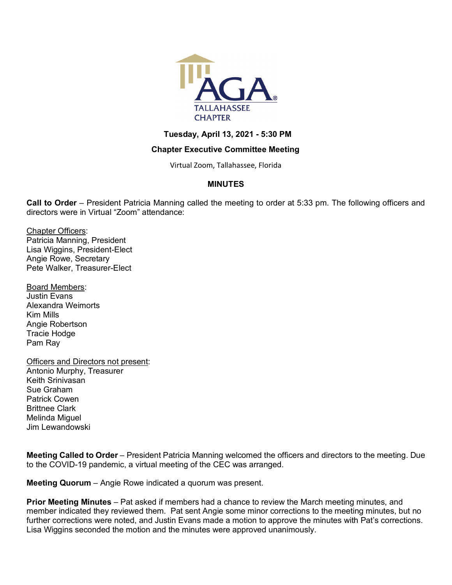

### **Tuesday, April 13, 2021 - 5:30 PM**

### **Chapter Executive Committee Meeting**

Virtual Zoom, Tallahassee, Florida

# **MINUTES**

**Call to Order** – President Patricia Manning called the meeting to order at 5:33 pm. The following officers and directors were in Virtual "Zoom" attendance:

Chapter Officers: Patricia Manning, President Lisa Wiggins, President-Elect Angie Rowe, Secretary Pete Walker, Treasurer-Elect

- Board Members: Justin Evans Alexandra Weimorts Kim Mills Angie Robertson Tracie Hodge Pam Ray
- Officers and Directors not present: Antonio Murphy, Treasurer Keith Srinivasan Sue Graham Patrick Cowen Brittnee Clark Melinda Miguel Jim Lewandowski

**Meeting Called to Order** – President Patricia Manning welcomed the officers and directors to the meeting. Due to the COVID-19 pandemic, a virtual meeting of the CEC was arranged.

**Meeting Quorum** – Angie Rowe indicated a quorum was present.

**Prior Meeting Minutes** – Pat asked if members had a chance to review the March meeting minutes, and member indicated they reviewed them. Pat sent Angie some minor corrections to the meeting minutes, but no further corrections were noted, and Justin Evans made a motion to approve the minutes with Pat's corrections. Lisa Wiggins seconded the motion and the minutes were approved unanimously.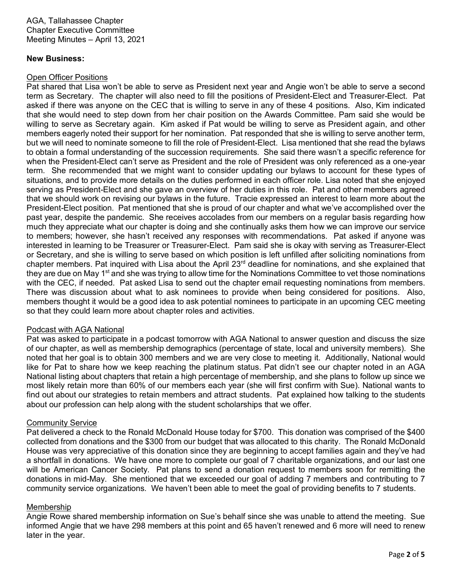#### **New Business:**

#### Open Officer Positions

Pat shared that Lisa won't be able to serve as President next year and Angie won't be able to serve a second term as Secretary. The chapter will also need to fill the positions of President-Elect and Treasurer-Elect. Pat asked if there was anyone on the CEC that is willing to serve in any of these 4 positions. Also, Kim indicated that she would need to step down from her chair position on the Awards Committee. Pam said she would be willing to serve as Secretary again. Kim asked if Pat would be willing to serve as President again, and other members eagerly noted their support for her nomination. Pat responded that she is willing to serve another term, but we will need to nominate someone to fill the role of President-Elect. Lisa mentioned that she read the bylaws to obtain a formal understanding of the succession requirements. She said there wasn't a specific reference for when the President-Elect can't serve as President and the role of President was only referenced as a one-year term. She recommended that we might want to consider updating our bylaws to account for these types of situations, and to provide more details on the duties performed in each officer role. Lisa noted that she enjoyed serving as President-Elect and she gave an overview of her duties in this role. Pat and other members agreed that we should work on revising our bylaws in the future. Tracie expressed an interest to learn more about the President-Elect position. Pat mentioned that she is proud of our chapter and what we've accomplished over the past year, despite the pandemic. She receives accolades from our members on a regular basis regarding how much they appreciate what our chapter is doing and she continually asks them how we can improve our service to members; however, she hasn't received any responses with recommendations. Pat asked if anyone was interested in learning to be Treasurer or Treasurer-Elect. Pam said she is okay with serving as Treasurer-Elect or Secretary, and she is willing to serve based on which position is left unfilled after soliciting nominations from chapter members. Pat inquired with Lisa about the April 23<sup>rd</sup> deadline for nominations, and she explained that they are due on May 1<sup>st</sup> and she was trying to allow time for the Nominations Committee to vet those nominations with the CEC, if needed. Pat asked Lisa to send out the chapter email requesting nominations from members. There was discussion about what to ask nominees to provide when being considered for positions. Also, members thought it would be a good idea to ask potential nominees to participate in an upcoming CEC meeting so that they could learn more about chapter roles and activities.

# Podcast with AGA National

Pat was asked to participate in a podcast tomorrow with AGA National to answer question and discuss the size of our chapter, as well as membership demographics (percentage of state, local and university members). She noted that her goal is to obtain 300 members and we are very close to meeting it. Additionally, National would like for Pat to share how we keep reaching the platinum status. Pat didn't see our chapter noted in an AGA National listing about chapters that retain a high percentage of membership, and she plans to follow up since we most likely retain more than 60% of our members each year (she will first confirm with Sue). National wants to find out about our strategies to retain members and attract students. Pat explained how talking to the students about our profession can help along with the student scholarships that we offer.

#### Community Service

Pat delivered a check to the Ronald McDonald House today for \$700. This donation was comprised of the \$400 collected from donations and the \$300 from our budget that was allocated to this charity. The Ronald McDonald House was very appreciative of this donation since they are beginning to accept families again and they've had a shortfall in donations. We have one more to complete our goal of 7 charitable organizations, and our last one will be American Cancer Society. Pat plans to send a donation request to members soon for remitting the donations in mid-May. She mentioned that we exceeded our goal of adding 7 members and contributing to 7 community service organizations. We haven't been able to meet the goal of providing benefits to 7 students.

# Membership

Angie Rowe shared membership information on Sue's behalf since she was unable to attend the meeting. Sue informed Angie that we have 298 members at this point and 65 haven't renewed and 6 more will need to renew later in the year.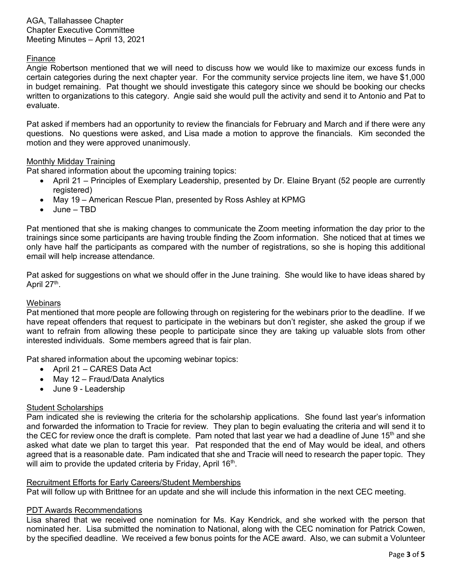### Finance

Angie Robertson mentioned that we will need to discuss how we would like to maximize our excess funds in certain categories during the next chapter year. For the community service projects line item, we have \$1,000 in budget remaining. Pat thought we should investigate this category since we should be booking our checks written to organizations to this category. Angie said she would pull the activity and send it to Antonio and Pat to evaluate.

Pat asked if members had an opportunity to review the financials for February and March and if there were any questions. No questions were asked, and Lisa made a motion to approve the financials. Kim seconded the motion and they were approved unanimously.

### Monthly Midday Training

Pat shared information about the upcoming training topics:

- April 21 Principles of Exemplary Leadership, presented by Dr. Elaine Bryant (52 people are currently registered)
- May 19 American Rescue Plan, presented by Ross Ashley at KPMG
- June TBD

Pat mentioned that she is making changes to communicate the Zoom meeting information the day prior to the trainings since some participants are having trouble finding the Zoom information. She noticed that at times we only have half the participants as compared with the number of registrations, so she is hoping this additional email will help increase attendance.

Pat asked for suggestions on what we should offer in the June training. She would like to have ideas shared by April 27<sup>th</sup>.

#### **Webinars**

Pat mentioned that more people are following through on registering for the webinars prior to the deadline. If we have repeat offenders that request to participate in the webinars but don't register, she asked the group if we want to refrain from allowing these people to participate since they are taking up valuable slots from other interested individuals. Some members agreed that is fair plan.

Pat shared information about the upcoming webinar topics:

- April 21 CARES Data Act
- May 12 Fraud/Data Analytics
- June 9 Leadership

#### Student Scholarships

Pam indicated she is reviewing the criteria for the scholarship applications. She found last year's information and forwarded the information to Tracie for review. They plan to begin evaluating the criteria and will send it to the CEC for review once the draft is complete. Pam noted that last year we had a deadline of June 15<sup>th</sup> and she asked what date we plan to target this year. Pat responded that the end of May would be ideal, and others agreed that is a reasonable date. Pam indicated that she and Tracie will need to research the paper topic. They will aim to provide the updated criteria by Friday, April 16<sup>th</sup>.

#### Recruitment Efforts for Early Careers/Student Memberships

Pat will follow up with Brittnee for an update and she will include this information in the next CEC meeting.

#### PDT Awards Recommendations

Lisa shared that we received one nomination for Ms. Kay Kendrick, and she worked with the person that nominated her. Lisa submitted the nomination to National, along with the CEC nomination for Patrick Cowen, by the specified deadline. We received a few bonus points for the ACE award. Also, we can submit a Volunteer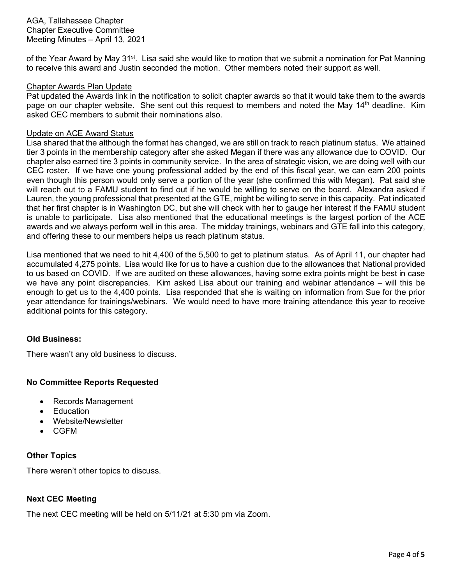of the Year Award by May 31<sup>st</sup>. Lisa said she would like to motion that we submit a nomination for Pat Manning to receive this award and Justin seconded the motion. Other members noted their support as well.

#### Chapter Awards Plan Update

Pat updated the Awards link in the notification to solicit chapter awards so that it would take them to the awards page on our chapter website. She sent out this request to members and noted the May 14<sup>th</sup> deadline. Kim asked CEC members to submit their nominations also.

#### Update on ACE Award Status

Lisa shared that the although the format has changed, we are still on track to reach platinum status. We attained tier 3 points in the membership category after she asked Megan if there was any allowance due to COVID. Our chapter also earned tire 3 points in community service. In the area of strategic vision, we are doing well with our CEC roster. If we have one young professional added by the end of this fiscal year, we can earn 200 points even though this person would only serve a portion of the year (she confirmed this with Megan). Pat said she will reach out to a FAMU student to find out if he would be willing to serve on the board. Alexandra asked if Lauren, the young professional that presented at the GTE, might be willing to serve in this capacity. Pat indicated that her first chapter is in Washington DC, but she will check with her to gauge her interest if the FAMU student is unable to participate. Lisa also mentioned that the educational meetings is the largest portion of the ACE awards and we always perform well in this area. The midday trainings, webinars and GTE fall into this category, and offering these to our members helps us reach platinum status.

Lisa mentioned that we need to hit 4,400 of the 5,500 to get to platinum status. As of April 11, our chapter had accumulated 4,275 points. Lisa would like for us to have a cushion due to the allowances that National provided to us based on COVID. If we are audited on these allowances, having some extra points might be best in case we have any point discrepancies. Kim asked Lisa about our training and webinar attendance – will this be enough to get us to the 4,400 points. Lisa responded that she is waiting on information from Sue for the prior year attendance for trainings/webinars. We would need to have more training attendance this year to receive additional points for this category.

#### **Old Business:**

There wasn't any old business to discuss.

#### **No Committee Reports Requested**

- Records Management
- **Education**
- Website/Newsletter
- CGFM

#### **Other Topics**

There weren't other topics to discuss.

#### **Next CEC Meeting**

The next CEC meeting will be held on 5/11/21 at 5:30 pm via Zoom.